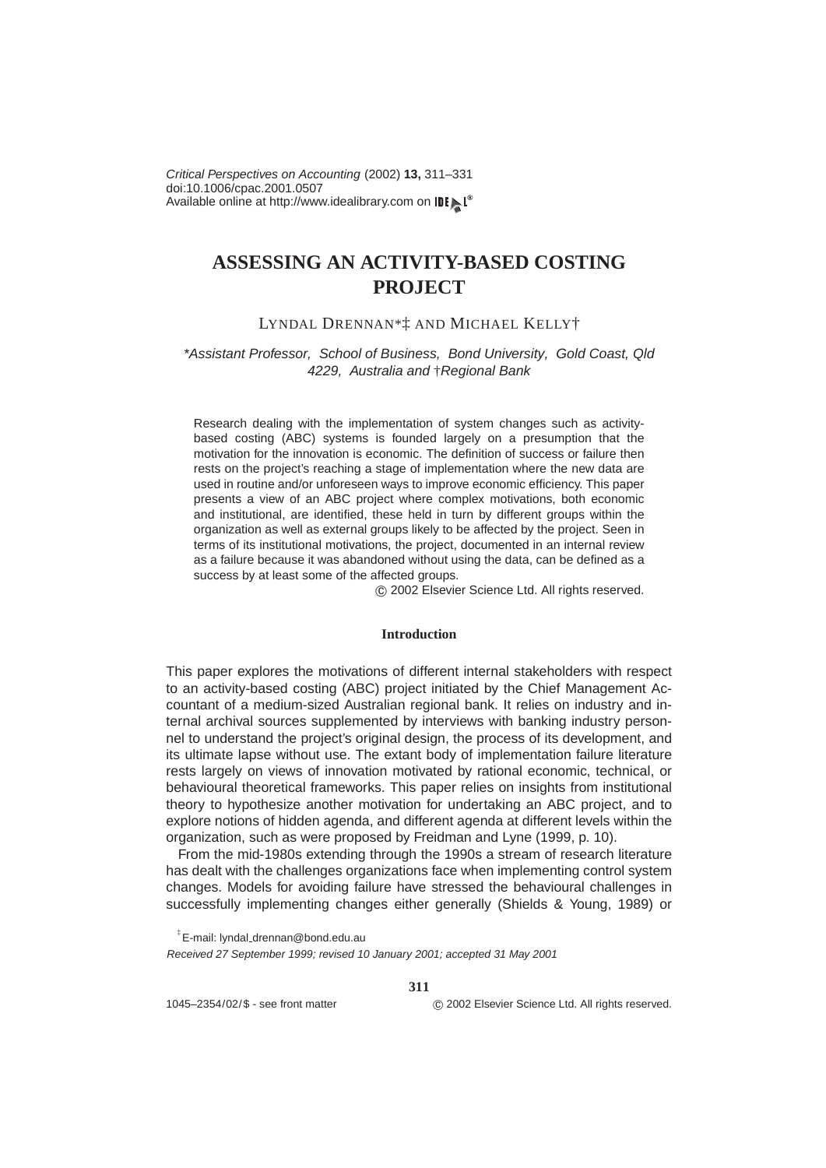Available online at http://www.idealibrary.com on IDE N<sup>®</sup> doi:10.1006/cpac.2001.0507 Critical Perspectives on Accounting (2002) **13,** 311–331

## **ASSESSING AN ACTIVITY-BASED COSTING PROJECT**

#### LYNDAL DRENNAN\*‡ AND MICHAEL KELLY†

### \*Assistant Professor, School of Business, Bond University, Gold Coast, Qld 4229, Australia and †Regional Bank

Research dealing with the implementation of system changes such as activitybased costing (ABC) systems is founded largely on a presumption that the motivation for the innovation is economic. The definition of success or failure then rests on the project's reaching a stage of implementation where the new data are used in routine and/or unforeseen ways to improve economic efficiency. This paper presents a view of an ABC project where complex motivations, both economic and institutional, are identified, these held in turn by different groups within the organization as well as external groups likely to be affected by the project. Seen in terms of its institutional motivations, the project, documented in an internal review as a failure because it was abandoned without using the data, can be defined as a success by at least some of the affected groups.

c 2002 Elsevier Science Ltd. All rights reserved.

#### **Introduction**

This paper explores the motivations of different internal stakeholders with respect to an activity-based costing (ABC) project initiated by the Chief Management Accountant of a medium-sized Australian regional bank. It relies on industry and internal archival sources supplemented by interviews with banking industry personnel to understand the project's original design, the process of its development, and its ultimate lapse without use. The extant body of implementation failure literature rests largely on views of innovation motivated by rational economic, technical, or behavioural theoretical frameworks. This paper relies on insights from institutional theory to hypothesize another motivation for undertaking an ABC project, and to explore notions of hidden agenda, and different agenda at different levels within the organization, such as were proposed by [Freidman and Lyne \(1999,](#page--1-0) p. 10).

From the mid-1980s extending through the 1990s a stream of research literature has dealt with the challenges organizations face when implementing control system changes. Models for avoiding failure have stressed the behavioural challenges in successfully implementing changes either generally [\(Shields & Young, 1989\)](#page--1-1) or

**311**

 $^{\ddagger}$ E-mail: lyndal<sub>-</sub>drennan@bond.edu.au

Received 27 September 1999; revised 10 January 2001; accepted 31 May 2001

1045–2354/02/\$ - see front matter c 2002 Elsevier Science Ltd. All rights reserved.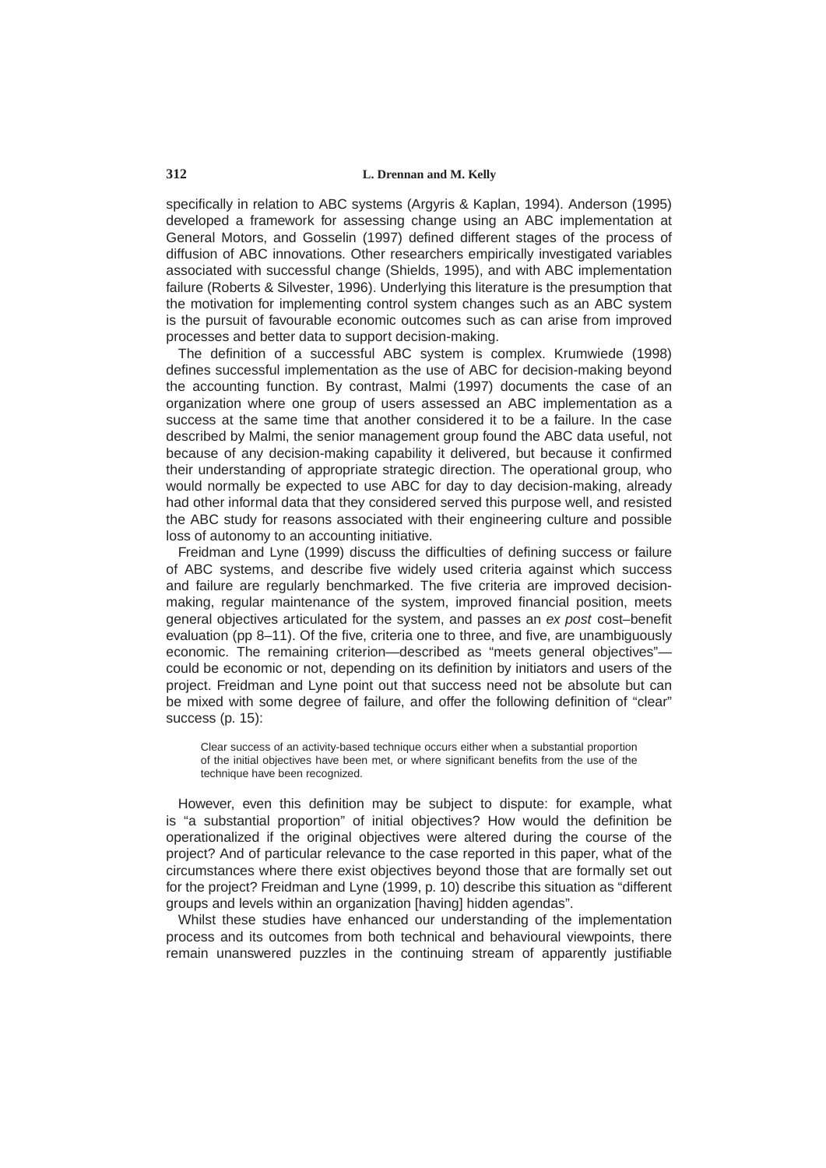specifically in relation to ABC systems [\(Argyris & Kaplan, 1994\)](#page--1-2). [Anderson \(1995\)](#page--1-3) developed a framework for assessing change using an ABC implementation at General Motors, and [Gosselin \(1997\)](#page--1-4) defined different stages of the process of diffusion of ABC innovations. Other researchers empirically investigated variables associated with successful change [\(Shields, 1995\)](#page--1-5), and with ABC implementation failure [\(Roberts & Silvester, 1996\)](#page--1-6). Underlying this literature is the presumption that the motivation for implementing control system changes such as an ABC system is the pursuit of favourable economic outcomes such as can arise from improved processes and better data to support decision-making.

The definition of a successful ABC system is complex. [Krumwiede \(1998\)](#page--1-7) defines successful implementation as the use of ABC for decision-making beyond the accounting function. By contrast, [Malmi \(1997\)](#page--1-8) documents the case of an organization where one group of users assessed an ABC implementation as a success at the same time that another considered it to be a failure. In the case described by Malmi, the senior management group found the ABC data useful, not because of any decision-making capability it delivered, but because it confirmed their understanding of appropriate strategic direction. The operational group, who would normally be expected to use ABC for day to day decision-making, already had other informal data that they considered served this purpose well, and resisted the ABC study for reasons associated with their engineering culture and possible loss of autonomy to an accounting initiative.

[Freidman and Lyne \(1999\)](#page--1-0) discuss the difficulties of defining success or failure of ABC systems, and describe five widely used criteria against which success and failure are regularly benchmarked. The five criteria are improved decisionmaking, regular maintenance of the system, improved financial position, meets general objectives articulated for the system, and passes an ex post cost–benefit evaluation (pp 8–11). Of the five, criteria one to three, and five, are unambiguously economic. The remaining criterion—described as "meets general objectives" could be economic or not, depending on its definition by initiators and users of the project. Freidman and Lyne point out that success need not be absolute but can be mixed with some degree of failure, and offer the following definition of "clear" success (p. 15):

Clear success of an activity-based technique occurs either when a substantial proportion of the initial objectives have been met, or where significant benefits from the use of the technique have been recognized.

However, even this definition may be subject to dispute: for example, what is "a substantial proportion" of initial objectives? How would the definition be operationalized if the original objectives were altered during the course of the project? And of particular relevance to the case reported in this paper, what of the circumstances where there exist objectives beyond those that are formally set out for the project? [Freidman and Lyne \(1999,](#page--1-0) p. 10) describe this situation as "different groups and levels within an organization [having] hidden agendas".

Whilst these studies have enhanced our understanding of the implementation process and its outcomes from both technical and behavioural viewpoints, there remain unanswered puzzles in the continuing stream of apparently justifiable